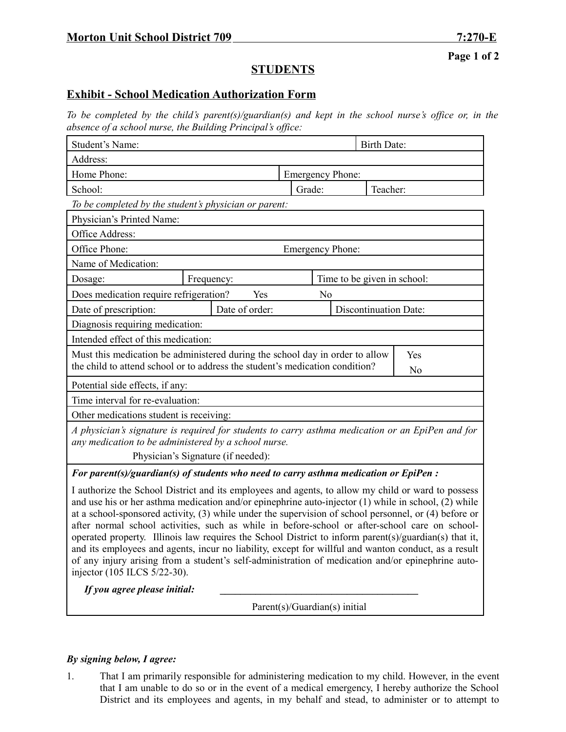**Page 1 of 2**

## **STUDENTS**

## **Exhibit - School Medication Authorization Form**

*To be completed by the child's parent(s)/guardian(s) and kept in the school nurse's office or, in the absence of a school nurse, the Building Principal's office:*

| Student's Name:                                                                                                                                          |                |  |                         | <b>Birth Date:</b>      |                              |                |  |
|----------------------------------------------------------------------------------------------------------------------------------------------------------|----------------|--|-------------------------|-------------------------|------------------------------|----------------|--|
| Address:                                                                                                                                                 |                |  |                         |                         |                              |                |  |
| Home Phone:                                                                                                                                              |                |  | <b>Emergency Phone:</b> |                         |                              |                |  |
| School:                                                                                                                                                  |                |  |                         | Grade:                  |                              | Teacher:       |  |
| To be completed by the student's physician or parent:                                                                                                    |                |  |                         |                         |                              |                |  |
| Physician's Printed Name:                                                                                                                                |                |  |                         |                         |                              |                |  |
| Office Address:                                                                                                                                          |                |  |                         |                         |                              |                |  |
| Office Phone:                                                                                                                                            |                |  |                         | <b>Emergency Phone:</b> |                              |                |  |
| Name of Medication:                                                                                                                                      |                |  |                         |                         |                              |                |  |
| Dosage:                                                                                                                                                  | Frequency:     |  |                         |                         | Time to be given in school:  |                |  |
| Does medication require refrigeration?<br>Yes<br>N <sub>0</sub>                                                                                          |                |  |                         |                         |                              |                |  |
| Date of prescription:                                                                                                                                    | Date of order: |  |                         |                         | <b>Discontinuation Date:</b> |                |  |
| Diagnosis requiring medication:                                                                                                                          |                |  |                         |                         |                              |                |  |
| Intended effect of this medication:                                                                                                                      |                |  |                         |                         |                              |                |  |
| Must this medication be administered during the school day in order to allow<br>Yes                                                                      |                |  |                         |                         |                              |                |  |
| the child to attend school or to address the student's medication condition?                                                                             |                |  |                         |                         |                              | N <sub>0</sub> |  |
| Potential side effects, if any:                                                                                                                          |                |  |                         |                         |                              |                |  |
| Time interval for re-evaluation:                                                                                                                         |                |  |                         |                         |                              |                |  |
| Other medications student is receiving:                                                                                                                  |                |  |                         |                         |                              |                |  |
| A physician's signature is required for students to carry asthma medication or an EpiPen and for<br>any medication to be administered by a school nurse. |                |  |                         |                         |                              |                |  |
| Physician's Signature (if needed):                                                                                                                       |                |  |                         |                         |                              |                |  |
| For parent(s)/guardian(s) of students who need to carry asthma medication or EpiPen :                                                                    |                |  |                         |                         |                              |                |  |
|                                                                                                                                                          |                |  |                         |                         |                              |                |  |

I authorize the School District and its employees and agents, to allow my child or ward to possess and use his or her asthma medication and/or epinephrine auto-injector (1) while in school, (2) while at a school-sponsored activity, (3) while under the supervision of school personnel, or (4) before or after normal school activities, such as while in before-school or after-school care on schooloperated property. Illinois law requires the School District to inform parent(s)/guardian(s) that it, and its employees and agents, incur no liability, except for willful and wanton conduct, as a result of any injury arising from a student's self-administration of medication and/or epinephrine autoinjector (105 ILCS 5/22-30).

*If you agree please initial:* **\_\_\_\_\_\_\_\_\_\_\_\_\_\_\_\_\_\_\_\_\_\_\_\_\_\_\_\_\_\_\_\_\_\_\_\_\_\_\_**

Parent(s)/Guardian(s) initial

## *By signing below, I agree:*

1. That I am primarily responsible for administering medication to my child. However, in the event that I am unable to do so or in the event of a medical emergency, I hereby authorize the School District and its employees and agents, in my behalf and stead, to administer or to attempt to